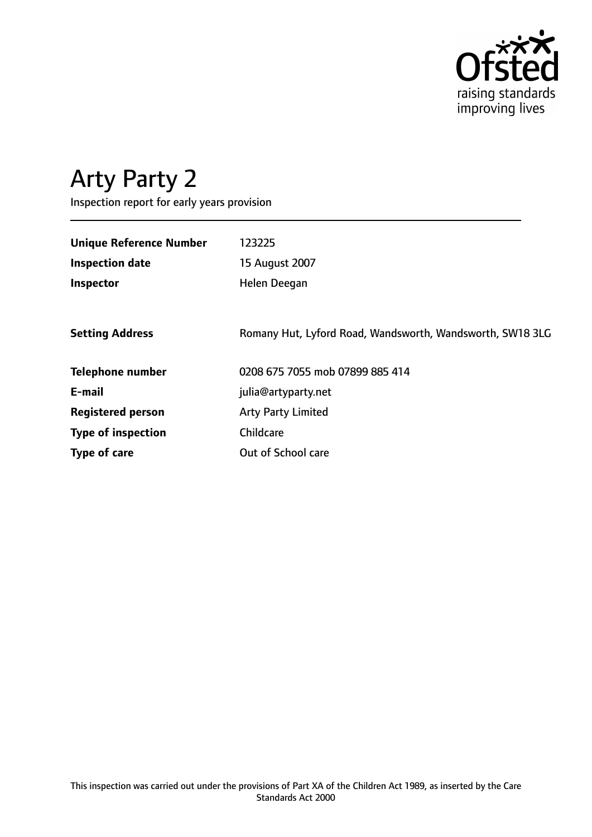

# Arty Party 2

Inspection report for early years provision

| <b>Unique Reference Number</b> | 123225                                                    |
|--------------------------------|-----------------------------------------------------------|
| <b>Inspection date</b>         | 15 August 2007                                            |
| Inspector                      | Helen Deegan                                              |
|                                |                                                           |
| <b>Setting Address</b>         | Romany Hut, Lyford Road, Wandsworth, Wandsworth, SW18 3LG |
| <b>Telephone number</b>        | 0208 675 7055 mob 07899 885 414                           |
| E-mail                         | julia@artyparty.net                                       |
| <b>Registered person</b>       | <b>Arty Party Limited</b>                                 |
| <b>Type of inspection</b>      | Childcare                                                 |
| Type of care                   | Out of School care                                        |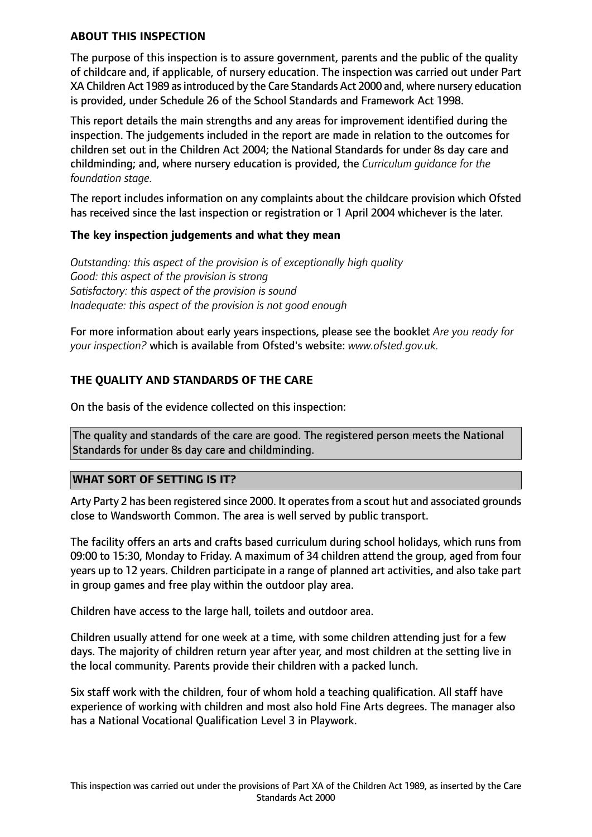### **ABOUT THIS INSPECTION**

The purpose of this inspection is to assure government, parents and the public of the quality of childcare and, if applicable, of nursery education. The inspection was carried out under Part XA Children Act 1989 as introduced by the Care Standards Act 2000 and, where nursery education is provided, under Schedule 26 of the School Standards and Framework Act 1998.

This report details the main strengths and any areas for improvement identified during the inspection. The judgements included in the report are made in relation to the outcomes for children set out in the Children Act 2004; the National Standards for under 8s day care and childminding; and, where nursery education is provided, the *Curriculum guidance for the foundation stage.*

The report includes information on any complaints about the childcare provision which Ofsted has received since the last inspection or registration or 1 April 2004 whichever is the later.

### **The key inspection judgements and what they mean**

*Outstanding: this aspect of the provision is of exceptionally high quality Good: this aspect of the provision is strong Satisfactory: this aspect of the provision is sound Inadequate: this aspect of the provision is not good enough*

For more information about early years inspections, please see the booklet *Are you ready for your inspection?* which is available from Ofsted's website: *www.ofsted.gov.uk.*

## **THE QUALITY AND STANDARDS OF THE CARE**

On the basis of the evidence collected on this inspection:

The quality and standards of the care are good. The registered person meets the National Standards for under 8s day care and childminding.

### **WHAT SORT OF SETTING IS IT?**

Arty Party 2 has been registered since 2000. It operates from a scout hut and associated grounds close to Wandsworth Common. The area is well served by public transport.

The facility offers an arts and crafts based curriculum during school holidays, which runs from 09:00 to 15:30, Monday to Friday. A maximum of 34 children attend the group, aged from four years up to 12 years. Children participate in a range of planned art activities, and also take part in group games and free play within the outdoor play area.

Children have access to the large hall, toilets and outdoor area.

Children usually attend for one week at a time, with some children attending just for a few days. The majority of children return year after year, and most children at the setting live in the local community. Parents provide their children with a packed lunch.

Six staff work with the children, four of whom hold a teaching qualification. All staff have experience of working with children and most also hold Fine Arts degrees. The manager also has a National Vocational Qualification Level 3 in Playwork.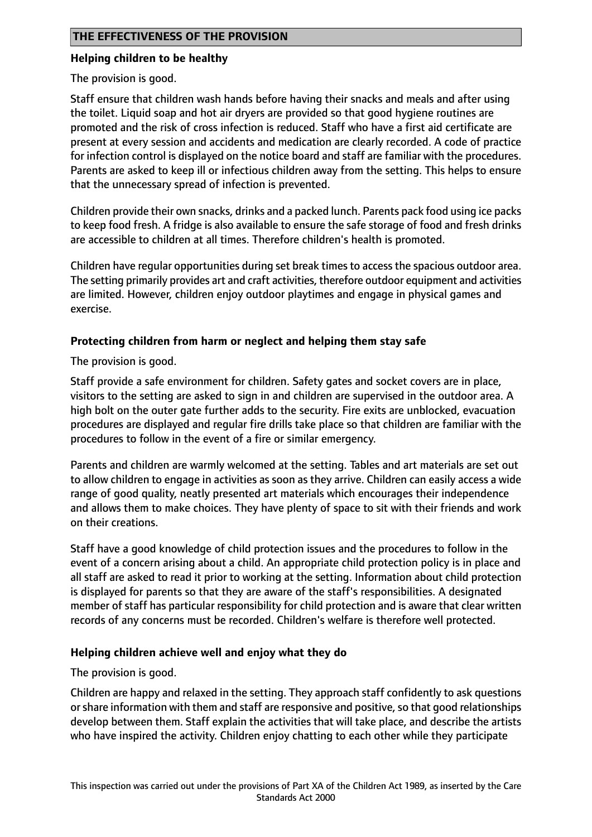## **THE EFFECTIVENESS OF THE PROVISION**

#### **Helping children to be healthy**

The provision is good.

Staff ensure that children wash hands before having their snacks and meals and after using the toilet. Liquid soap and hot air dryers are provided so that good hygiene routines are promoted and the risk of cross infection is reduced. Staff who have a first aid certificate are present at every session and accidents and medication are clearly recorded. A code of practice for infection control is displayed on the notice board and staff are familiar with the procedures. Parents are asked to keep ill or infectious children away from the setting. This helps to ensure that the unnecessary spread of infection is prevented.

Children provide their own snacks, drinks and a packed lunch. Parents pack food using ice packs to keep food fresh. A fridge is also available to ensure the safe storage of food and fresh drinks are accessible to children at all times. Therefore children's health is promoted.

Children have regular opportunities during set break times to access the spacious outdoor area. The setting primarily provides art and craft activities, therefore outdoor equipment and activities are limited. However, children enjoy outdoor playtimes and engage in physical games and exercise.

### **Protecting children from harm or neglect and helping them stay safe**

The provision is good.

Staff provide a safe environment for children. Safety gates and socket covers are in place, visitors to the setting are asked to sign in and children are supervised in the outdoor area. A high bolt on the outer gate further adds to the security. Fire exits are unblocked, evacuation procedures are displayed and regular fire drills take place so that children are familiar with the procedures to follow in the event of a fire or similar emergency.

Parents and children are warmly welcomed at the setting. Tables and art materials are set out to allow children to engage in activities as soon as they arrive. Children can easily access a wide range of good quality, neatly presented art materials which encourages their independence and allows them to make choices. They have plenty of space to sit with their friends and work on their creations.

Staff have a good knowledge of child protection issues and the procedures to follow in the event of a concern arising about a child. An appropriate child protection policy is in place and all staff are asked to read it prior to working at the setting. Information about child protection is displayed for parents so that they are aware of the staff's responsibilities. A designated member of staff has particular responsibility for child protection and is aware that clear written records of any concerns must be recorded. Children's welfare is therefore well protected.

### **Helping children achieve well and enjoy what they do**

The provision is good.

Children are happy and relaxed in the setting. They approach staff confidently to ask questions or share information with them and staff are responsive and positive, so that good relationships develop between them. Staff explain the activities that will take place, and describe the artists who have inspired the activity. Children enjoy chatting to each other while they participate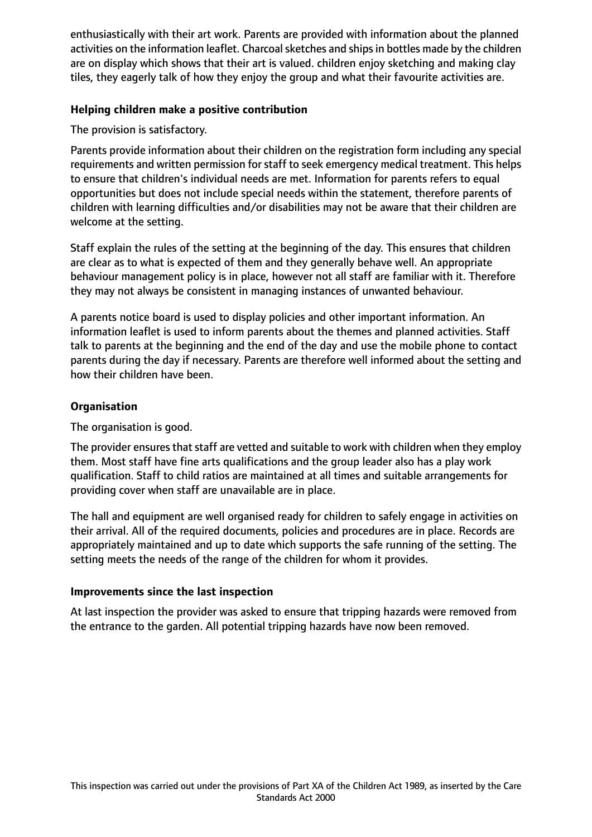enthusiastically with their art work. Parents are provided with information about the planned activities on the information leaflet. Charcoal sketches and ships in bottles made by the children are on display which shows that their art is valued. children enjoy sketching and making clay tiles, they eagerly talk of how they enjoy the group and what their favourite activities are.

## **Helping children make a positive contribution**

The provision is satisfactory.

Parents provide information about their children on the registration form including any special requirements and written permission for staff to seek emergency medical treatment. This helps to ensure that children's individual needs are met. Information for parents refers to equal opportunities but does not include special needs within the statement, therefore parents of children with learning difficulties and/or disabilities may not be aware that their children are welcome at the setting.

Staff explain the rules of the setting at the beginning of the day. This ensures that children are clear as to what is expected of them and they generally behave well. An appropriate behaviour management policy is in place, however not all staff are familiar with it. Therefore they may not always be consistent in managing instances of unwanted behaviour.

A parents notice board is used to display policies and other important information. An information leaflet is used to inform parents about the themes and planned activities. Staff talk to parents at the beginning and the end of the day and use the mobile phone to contact parents during the day if necessary. Parents are therefore well informed about the setting and how their children have been.

## **Organisation**

The organisation is good.

The provider ensures that staff are vetted and suitable to work with children when they employ them. Most staff have fine arts qualifications and the group leader also has a play work qualification. Staff to child ratios are maintained at all times and suitable arrangements for providing cover when staff are unavailable are in place.

The hall and equipment are well organised ready for children to safely engage in activities on their arrival. All of the required documents, policies and procedures are in place. Records are appropriately maintained and up to date which supports the safe running of the setting. The setting meets the needs of the range of the children for whom it provides.

### **Improvements since the last inspection**

At last inspection the provider was asked to ensure that tripping hazards were removed from the entrance to the garden. All potential tripping hazards have now been removed.